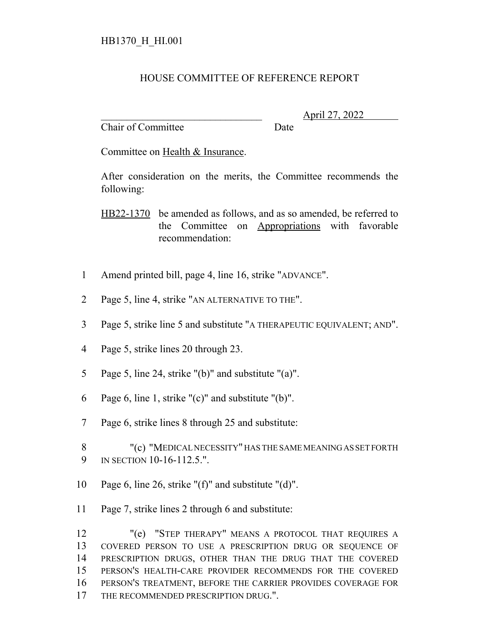## HOUSE COMMITTEE OF REFERENCE REPORT

Chair of Committee Date

\_\_\_\_\_\_\_\_\_\_\_\_\_\_\_\_\_\_\_\_\_\_\_\_\_\_\_\_\_\_\_ April 27, 2022

Committee on Health & Insurance.

After consideration on the merits, the Committee recommends the following:

HB22-1370 be amended as follows, and as so amended, be referred to the Committee on Appropriations with favorable recommendation:

- 1 Amend printed bill, page 4, line 16, strike "ADVANCE".
- 2 Page 5, line 4, strike "AN ALTERNATIVE TO THE".
- 3 Page 5, strike line 5 and substitute "A THERAPEUTIC EQUIVALENT; AND".
- 4 Page 5, strike lines 20 through 23.
- 5 Page 5, line 24, strike "(b)" and substitute "(a)".
- 6 Page 6, line 1, strike "(c)" and substitute "(b)".
- 7 Page 6, strike lines 8 through 25 and substitute:
- 8 "(c) "MEDICAL NECESSITY" HAS THE SAME MEANING AS SET FORTH 9 IN SECTION 10-16-112.5.".
- 10 Page 6, line 26, strike "(f)" and substitute "(d)".
- 11 Page 7, strike lines 2 through 6 and substitute:

 "(e) "STEP THERAPY" MEANS A PROTOCOL THAT REQUIRES A COVERED PERSON TO USE A PRESCRIPTION DRUG OR SEQUENCE OF PRESCRIPTION DRUGS, OTHER THAN THE DRUG THAT THE COVERED PERSON'S HEALTH-CARE PROVIDER RECOMMENDS FOR THE COVERED PERSON'S TREATMENT, BEFORE THE CARRIER PROVIDES COVERAGE FOR 17 THE RECOMMENDED PRESCRIPTION DRUG.".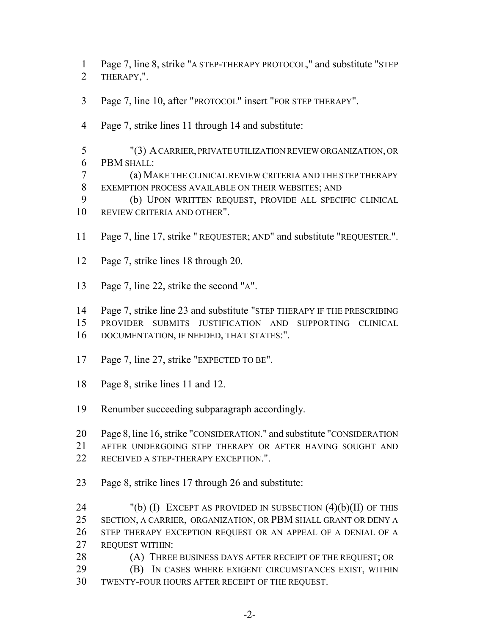Page 7, line 8, strike "A STEP-THERAPY PROTOCOL," and substitute "STEP THERAPY,".

- Page 7, line 10, after "PROTOCOL" insert "FOR STEP THERAPY".
- Page 7, strike lines 11 through 14 and substitute:
- "(3) A CARRIER, PRIVATE UTILIZATION REVIEW ORGANIZATION, OR PBM SHALL:
- (a) MAKE THE CLINICAL REVIEW CRITERIA AND THE STEP THERAPY EXEMPTION PROCESS AVAILABLE ON THEIR WEBSITES; AND
- (b) UPON WRITTEN REQUEST, PROVIDE ALL SPECIFIC CLINICAL REVIEW CRITERIA AND OTHER".
- Page 7, line 17, strike " REQUESTER; AND" and substitute "REQUESTER.".
- Page 7, strike lines 18 through 20.
- Page 7, line 22, strike the second "A".

 Page 7, strike line 23 and substitute "STEP THERAPY IF THE PRESCRIBING PROVIDER SUBMITS JUSTIFICATION AND SUPPORTING CLINICAL DOCUMENTATION, IF NEEDED, THAT STATES:".

- 17 Page 7, line 27, strike "EXPECTED TO BE".
- Page 8, strike lines 11 and 12.
- Renumber succeeding subparagraph accordingly.
- Page 8, line 16, strike "CONSIDERATION." and substitute "CONSIDERATION
- AFTER UNDERGOING STEP THERAPY OR AFTER HAVING SOUGHT AND
- RECEIVED A STEP-THERAPY EXCEPTION.".
- Page 8, strike lines 17 through 26 and substitute:

 "(b) (I) EXCEPT AS PROVIDED IN SUBSECTION (4)(b)(II) OF THIS SECTION, A CARRIER, ORGANIZATION, OR PBM SHALL GRANT OR DENY A STEP THERAPY EXCEPTION REQUEST OR AN APPEAL OF A DENIAL OF A REQUEST WITHIN:

- 28 (A) THREE BUSINESS DAYS AFTER RECEIPT OF THE REQUEST; OR
- (B) IN CASES WHERE EXIGENT CIRCUMSTANCES EXIST, WITHIN TWENTY-FOUR HOURS AFTER RECEIPT OF THE REQUEST.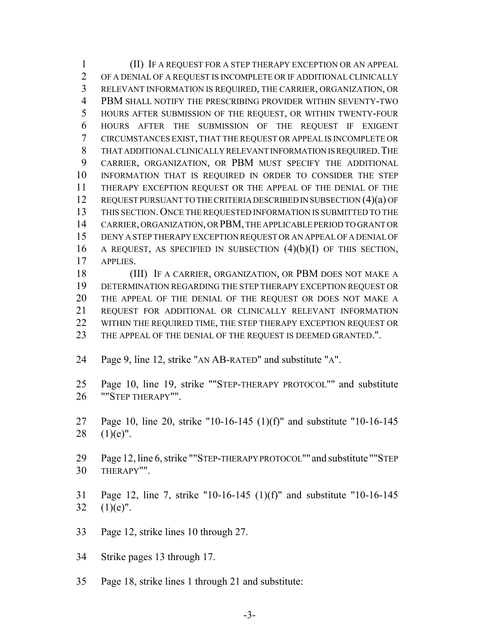(II) IF A REQUEST FOR A STEP THERAPY EXCEPTION OR AN APPEAL OF A DENIAL OF A REQUEST IS INCOMPLETE OR IF ADDITIONAL CLINICALLY RELEVANT INFORMATION IS REQUIRED, THE CARRIER, ORGANIZATION, OR PBM SHALL NOTIFY THE PRESCRIBING PROVIDER WITHIN SEVENTY-TWO HOURS AFTER SUBMISSION OF THE REQUEST, OR WITHIN TWENTY-FOUR HOURS AFTER THE SUBMISSION OF THE REQUEST IF EXIGENT CIRCUMSTANCES EXIST, THAT THE REQUEST OR APPEAL IS INCOMPLETE OR THAT ADDITIONAL CLINICALLY RELEVANT INFORMATION IS REQUIRED.THE CARRIER, ORGANIZATION, OR PBM MUST SPECIFY THE ADDITIONAL INFORMATION THAT IS REQUIRED IN ORDER TO CONSIDER THE STEP THERAPY EXCEPTION REQUEST OR THE APPEAL OF THE DENIAL OF THE REQUEST PURSUANT TO THE CRITERIA DESCRIBED IN SUBSECTION (4)(a) OF THIS SECTION. ONCE THE REQUESTED INFORMATION IS SUBMITTED TO THE CARRIER, ORGANIZATION, OR PBM, THE APPLICABLE PERIOD TO GRANT OR DENY A STEP THERAPY EXCEPTION REQUEST OR AN APPEAL OF A DENIAL OF 16 A REQUEST, AS SPECIFIED IN SUBSECTION  $(4)(b)(I)$  OF THIS SECTION, APPLIES.

 (III) IF A CARRIER, ORGANIZATION, OR PBM DOES NOT MAKE A DETERMINATION REGARDING THE STEP THERAPY EXCEPTION REQUEST OR THE APPEAL OF THE DENIAL OF THE REQUEST OR DOES NOT MAKE A REQUEST FOR ADDITIONAL OR CLINICALLY RELEVANT INFORMATION 22 WITHIN THE REQUIRED TIME, THE STEP THERAPY EXCEPTION REQUEST OR THE APPEAL OF THE DENIAL OF THE REQUEST IS DEEMED GRANTED.".

- Page 9, line 12, strike "AN AB-RATED" and substitute "A".
- Page 10, line 19, strike ""STEP-THERAPY PROTOCOL"" and substitute ""STEP THERAPY"".
- Page 10, line 20, strike "10-16-145 (1)(f)" and substitute "10-16-145 28  $(1)(e)$ ".

 Page 12, line 6, strike ""STEP-THERAPY PROTOCOL""and substitute ""STEP THERAPY"".

- Page 12, line 7, strike "10-16-145 (1)(f)" and substitute "10-16-145 32  $(1)(e)$ ".
- Page 12, strike lines 10 through 27.

Strike pages 13 through 17.

Page 18, strike lines 1 through 21 and substitute: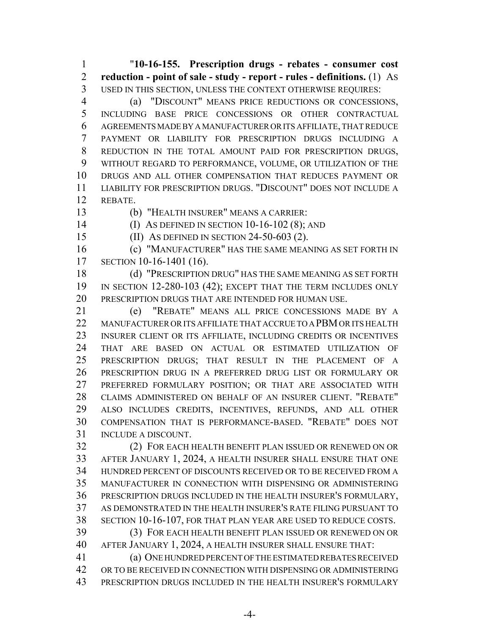"**10-16-155. Prescription drugs - rebates - consumer cost reduction - point of sale - study - report - rules - definitions.** (1) AS USED IN THIS SECTION, UNLESS THE CONTEXT OTHERWISE REQUIRES:

 (a) "DISCOUNT" MEANS PRICE REDUCTIONS OR CONCESSIONS, INCLUDING BASE PRICE CONCESSIONS OR OTHER CONTRACTUAL AGREEMENTS MADE BY A MANUFACTURER OR ITS AFFILIATE, THAT REDUCE PAYMENT OR LIABILITY FOR PRESCRIPTION DRUGS INCLUDING A REDUCTION IN THE TOTAL AMOUNT PAID FOR PRESCRIPTION DRUGS, WITHOUT REGARD TO PERFORMANCE, VOLUME, OR UTILIZATION OF THE DRUGS AND ALL OTHER COMPENSATION THAT REDUCES PAYMENT OR LIABILITY FOR PRESCRIPTION DRUGS. "DISCOUNT" DOES NOT INCLUDE A REBATE.

(b) "HEALTH INSURER" MEANS A CARRIER:

(I) AS DEFINED IN SECTION 10-16-102 (8); AND

(II) AS DEFINED IN SECTION 24-50-603 (2).

 (c) "MANUFACTURER" HAS THE SAME MEANING AS SET FORTH IN SECTION 10-16-1401 (16).

 (d) "PRESCRIPTION DRUG" HAS THE SAME MEANING AS SET FORTH IN SECTION 12-280-103 (42); EXCEPT THAT THE TERM INCLUDES ONLY PRESCRIPTION DRUGS THAT ARE INTENDED FOR HUMAN USE.

 (e) "REBATE" MEANS ALL PRICE CONCESSIONS MADE BY A MANUFACTURER OR ITS AFFILIATE THAT ACCRUE TO A PBM OR ITS HEALTH INSURER CLIENT OR ITS AFFILIATE, INCLUDING CREDITS OR INCENTIVES THAT ARE BASED ON ACTUAL OR ESTIMATED UTILIZATION OF PRESCRIPTION DRUGS; THAT RESULT IN THE PLACEMENT OF A PRESCRIPTION DRUG IN A PREFERRED DRUG LIST OR FORMULARY OR PREFERRED FORMULARY POSITION; OR THAT ARE ASSOCIATED WITH CLAIMS ADMINISTERED ON BEHALF OF AN INSURER CLIENT. "REBATE" ALSO INCLUDES CREDITS, INCENTIVES, REFUNDS, AND ALL OTHER COMPENSATION THAT IS PERFORMANCE-BASED. "REBATE" DOES NOT INCLUDE A DISCOUNT.

 (2) FOR EACH HEALTH BENEFIT PLAN ISSUED OR RENEWED ON OR AFTER JANUARY 1, 2024, A HEALTH INSURER SHALL ENSURE THAT ONE HUNDRED PERCENT OF DISCOUNTS RECEIVED OR TO BE RECEIVED FROM A MANUFACTURER IN CONNECTION WITH DISPENSING OR ADMINISTERING PRESCRIPTION DRUGS INCLUDED IN THE HEALTH INSURER'S FORMULARY, AS DEMONSTRATED IN THE HEALTH INSURER'S RATE FILING PURSUANT TO SECTION 10-16-107, FOR THAT PLAN YEAR ARE USED TO REDUCE COSTS.

 (3) FOR EACH HEALTH BENEFIT PLAN ISSUED OR RENEWED ON OR AFTER JANUARY 1, 2024, A HEALTH INSURER SHALL ENSURE THAT:

 (a) ONE HUNDRED PERCENT OF THE ESTIMATED REBATES RECEIVED OR TO BE RECEIVED IN CONNECTION WITH DISPENSING OR ADMINISTERING PRESCRIPTION DRUGS INCLUDED IN THE HEALTH INSURER'S FORMULARY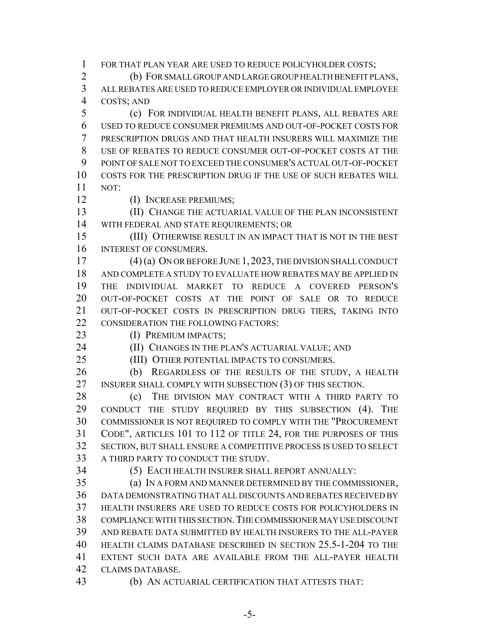FOR THAT PLAN YEAR ARE USED TO REDUCE POLICYHOLDER COSTS;

 (b) FOR SMALL GROUP AND LARGE GROUP HEALTH BENEFIT PLANS, ALL REBATES ARE USED TO REDUCE EMPLOYER OR INDIVIDUAL EMPLOYEE

COSTS; AND

 (c) FOR INDIVIDUAL HEALTH BENEFIT PLANS, ALL REBATES ARE USED TO REDUCE CONSUMER PREMIUMS AND OUT-OF-POCKET COSTS FOR PRESCRIPTION DRUGS AND THAT HEALTH INSURERS WILL MAXIMIZE THE USE OF REBATES TO REDUCE CONSUMER OUT-OF-POCKET COSTS AT THE POINT OF SALE NOT TO EXCEED THE CONSUMER'S ACTUAL OUT-OF-POCKET COSTS FOR THE PRESCRIPTION DRUG IF THE USE OF SUCH REBATES WILL NOT:

(I) INCREASE PREMIUMS;

 (II) CHANGE THE ACTUARIAL VALUE OF THE PLAN INCONSISTENT WITH FEDERAL AND STATE REQUIREMENTS; OR

15 (III) OTHERWISE RESULT IN AN IMPACT THAT IS NOT IN THE BEST INTEREST OF CONSUMERS.

 (4) (a) ON OR BEFORE JUNE 1, 2023, THE DIVISION SHALL CONDUCT AND COMPLETE A STUDY TO EVALUATE HOW REBATES MAY BE APPLIED IN THE INDIVIDUAL MARKET TO REDUCE A COVERED PERSON'S OUT-OF-POCKET COSTS AT THE POINT OF SALE OR TO REDUCE OUT-OF-POCKET COSTS IN PRESCRIPTION DRUG TIERS, TAKING INTO 22 CONSIDERATION THE FOLLOWING FACTORS:

(I) PREMIUM IMPACTS;

**(II) CHANGES IN THE PLAN'S ACTUARIAL VALUE; AND** 

(III) OTHER POTENTIAL IMPACTS TO CONSUMERS.

 (b) REGARDLESS OF THE RESULTS OF THE STUDY, A HEALTH 27 INSURER SHALL COMPLY WITH SUBSECTION (3) OF THIS SECTION.

28 (c) THE DIVISION MAY CONTRACT WITH A THIRD PARTY TO CONDUCT THE STUDY REQUIRED BY THIS SUBSECTION (4). THE COMMISSIONER IS NOT REQUIRED TO COMPLY WITH THE "PROCUREMENT CODE", ARTICLES 101 TO 112 OF TITLE 24, FOR THE PURPOSES OF THIS SECTION, BUT SHALL ENSURE A COMPETITIVE PROCESS IS USED TO SELECT A THIRD PARTY TO CONDUCT THE STUDY.

(5) EACH HEALTH INSURER SHALL REPORT ANNUALLY:

 (a) IN A FORM AND MANNER DETERMINED BY THE COMMISSIONER, DATA DEMONSTRATING THAT ALL DISCOUNTS AND REBATES RECEIVED BY HEALTH INSURERS ARE USED TO REDUCE COSTS FOR POLICYHOLDERS IN COMPLIANCE WITH THIS SECTION.THE COMMISSIONER MAY USE DISCOUNT AND REBATE DATA SUBMITTED BY HEALTH INSURERS TO THE ALL-PAYER HEALTH CLAIMS DATABASE DESCRIBED IN SECTION 25.5-1-204 TO THE EXTENT SUCH DATA ARE AVAILABLE FROM THE ALL-PAYER HEALTH CLAIMS DATABASE.

(b) AN ACTUARIAL CERTIFICATION THAT ATTESTS THAT: